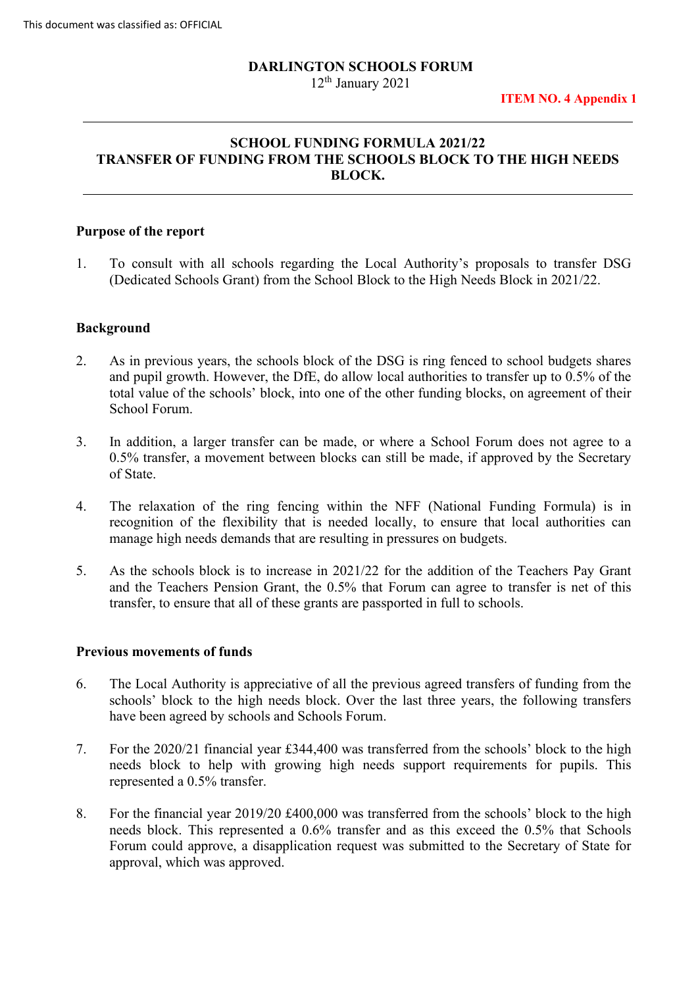#### **DARLINGTON SCHOOLS FORUM**

12th January 2021

### **SCHOOL FUNDING FORMULA 2021/22 TRANSFER OF FUNDING FROM THE SCHOOLS BLOCK TO THE HIGH NEEDS BLOCK.**

### **Purpose of the report**

 1. To consult with all schools regarding the Local Authority's proposals to transfer DSG (Dedicated Schools Grant) from the School Block to the High Needs Block in 2021/22.

#### **Background**

- and pupil growth. However, the DfE, do allow local authorities to transfer up to 0.5% of the total value of the schools' block, into one of the other funding blocks, on agreement of their 2. As in previous years, the schools block of the DSG is ring fenced to school budgets shares School Forum.
- 3. In addition, a larger transfer can be made, or where a School Forum does not agree to a 0.5% transfer, a movement between blocks can still be made, if approved by the Secretary of State.
- 4. The relaxation of the ring fencing within the NFF (National Funding Formula) is in recognition of the flexibility that is needed locally, to ensure that local authorities can manage high needs demands that are resulting in pressures on budgets.
- transfer, to ensure that all of these grants are passported in full to schools. 5. As the schools block is to increase in 2021/22 for the addition of the Teachers Pay Grant and the Teachers Pension Grant, the 0.5% that Forum can agree to transfer is net of this

### **Previous movements of funds**

- 6. The Local Authority is appreciative of all the previous agreed transfers of funding from the schools' block to the high needs block. Over the last three years, the following transfers have been agreed by schools and Schools Forum.
- 7. For the 2020/21 financial year £344,400 was transferred from the schools' block to the high needs block to help with growing high needs support requirements for pupils. This represented a 0.5% transfer.
- needs block. This represented a 0.6% transfer and as this exceed the 0.5% that Schools Forum could approve, a disapplication request was submitted to the Secretary of State for 8. For the financial year 2019/20 £400,000 was transferred from the schools' block to the high approval, which was approved.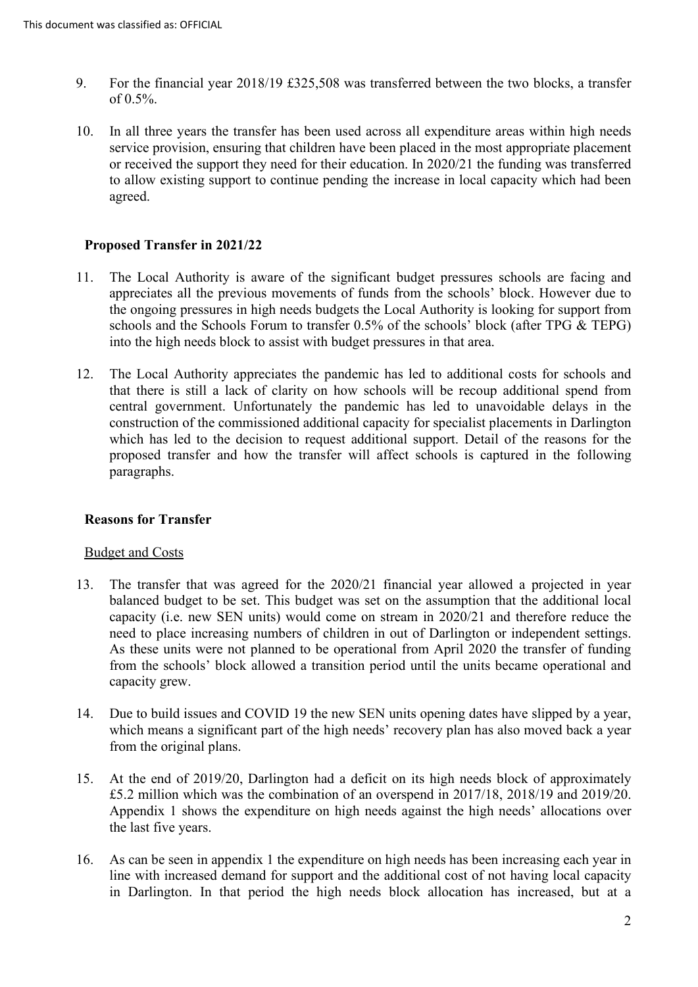- of 0.5%. 9. For the financial year 2018/19 £325,508 was transferred between the two blocks, a transfer
- agreed. 10. In all three years the transfer has been used across all expenditure areas within high needs service provision, ensuring that children have been placed in the most appropriate placement or received the support they need for their education. In 2020/21 the funding was transferred to allow existing support to continue pending the increase in local capacity which had been

# **Proposed Transfer in 2021/22**

- 11. The Local Authority is aware of the significant budget pressures schools are facing and appreciates all the previous movements of funds from the schools' block. However due to the ongoing pressures in high needs budgets the Local Authority is looking for support from schools and the Schools Forum to transfer 0.5% of the schools' block (after TPG & TEPG) into the high needs block to assist with budget pressures in that area.
- 12. The Local Authority appreciates the pandemic has led to additional costs for schools and that there is still a lack of clarity on how schools will be recoup additional spend from proposed transfer and how the transfer will affect schools is captured in the following central government. Unfortunately the pandemic has led to unavoidable delays in the construction of the commissioned additional capacity for specialist placements in Darlington which has led to the decision to request additional support. Detail of the reasons for the paragraphs.

### **Reasons for Transfer**

### Budget and Costs

- As these units were not planned to be operational from April 2020 the transfer of funding capacity grew. 13. The transfer that was agreed for the 2020/21 financial year allowed a projected in year balanced budget to be set. This budget was set on the assumption that the additional local capacity (i.e. new SEN units) would come on stream in 2020/21 and therefore reduce the need to place increasing numbers of children in out of Darlington or independent settings. from the schools' block allowed a transition period until the units became operational and
- which means a significant part of the high needs' recovery plan has also moved back a year from the original plans. 14. Due to build issues and COVID 19 the new SEN units opening dates have slipped by a year,
- the last five years. 15. At the end of 2019/20, Darlington had a deficit on its high needs block of approximately £5.2 million which was the combination of an overspend in 2017/18, 2018/19 and 2019/20. Appendix 1 shows the expenditure on high needs against the high needs' allocations over
- in Darlington. In that period the high needs block allocation has increased, but at a 16. As can be seen in appendix 1 the expenditure on high needs has been increasing each year in line with increased demand for support and the additional cost of not having local capacity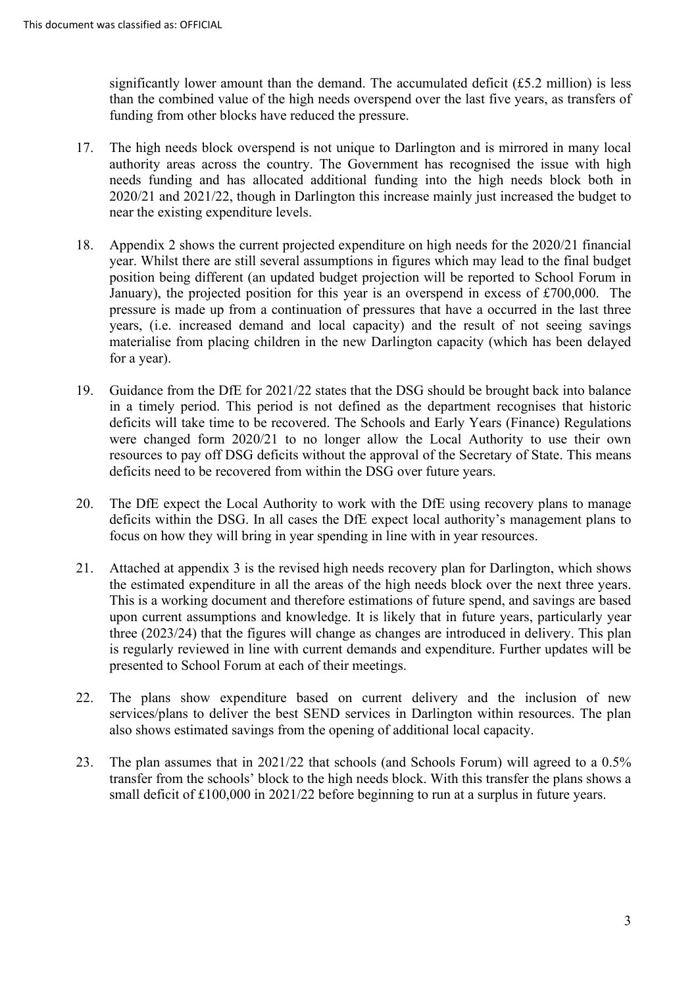than the combined value of the high needs overspend over the last five years, as transfers of significantly lower amount than the demand. The accumulated deficit  $(f5.2 \text{ million})$  is less funding from other blocks have reduced the pressure.

- near the existing expenditure levels. 17. The high needs block overspend is not unique to Darlington and is mirrored in many local authority areas across the country. The Government has recognised the issue with high needs funding and has allocated additional funding into the high needs block both in 2020/21 and 2021/22, though in Darlington this increase mainly just increased the budget to
- January), the projected position for this year is an overspend in excess of £700,000. The pressure is made up from a continuation of pressures that have a occurred in the last three years, (i.e. increased demand and local capacity) and the result of not seeing savings materialise from placing children in the new Darlington capacity (which has been delayed 18. Appendix 2 shows the current projected expenditure on high needs for the 2020/21 financial year. Whilst there are still several assumptions in figures which may lead to the final budget position being different (an updated budget projection will be reported to School Forum in for a year).
- resources to pay off DSG deficits without the approval of the Secretary of State. This means 19. Guidance from the DfE for 2021/22 states that the DSG should be brought back into balance in a timely period. This period is not defined as the department recognises that historic deficits will take time to be recovered. The Schools and Early Years (Finance) Regulations were changed form 2020/21 to no longer allow the Local Authority to use their own deficits need to be recovered from within the DSG over future years.
- deficits within the DSG. In all cases the DfE expect local authority's management plans to focus on how they will bring in year spending in line with in year resources. 20. The DfE expect the Local Authority to work with the DfE using recovery plans to manage
- 21. Attached at appendix 3 is the revised high needs recovery plan for Darlington, which shows This is a working document and therefore estimations of future spend, and savings are based upon current assumptions and knowledge. It is likely that in future years, particularly year the estimated expenditure in all the areas of the high needs block over the next three years. three (2023/24) that the figures will change as changes are introduced in delivery. This plan is regularly reviewed in line with current demands and expenditure. Further updates will be presented to School Forum at each of their meetings.
- also shows estimated savings from the opening of additional local capacity. 22. The plans show expenditure based on current delivery and the inclusion of new services/plans to deliver the best SEND services in Darlington within resources. The plan
- transfer from the schools' block to the high needs block. With this transfer the plans shows a small deficit of £100,000 in 2021/22 before beginning to run at a surplus in future years. 23. The plan assumes that in 2021/22 that schools (and Schools Forum) will agreed to a 0.5%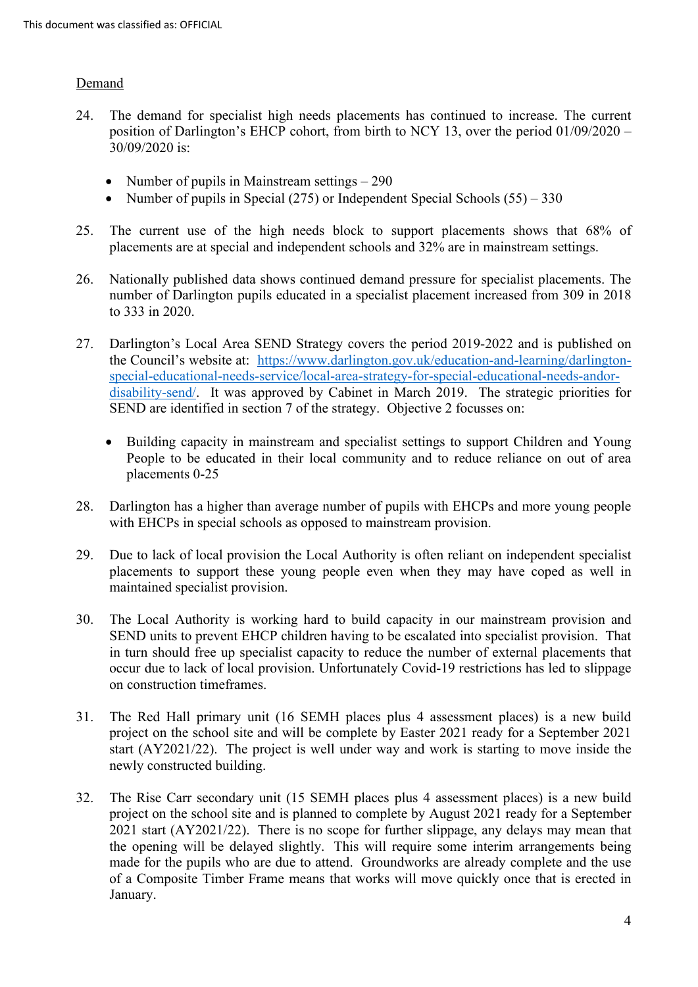### **Demand**

- 24. The demand for specialist high needs placements has continued to increase. The current position of Darlington's EHCP cohort, from birth to NCY 13, over the period 01/09/2020 – 30/09/2020 is:
	- Number of pupils in Mainstream settings 290
	- Number of pupils in Special (275) or Independent Special Schools (55) 330
- 25. The current use of the high needs block to support placements shows that 68% of placements are at special and independent schools and 32% are in mainstream settings.
- 26. Nationally published data shows continued demand pressure for specialist placements. The number of Darlington pupils educated in a specialist placement increased from 309 in 2018 to 333 in 2020.
- [disability-send/.](https://www.darlington.gov.uk/education-and-learning/darlington-special-educational-needs-service/local-area-strategy-for-special-educational-needs-andor-disability-send/) It was approved by Cabinet in March 2019. The strategic priorities for SEND are identified in section 7 of the strategy. Objective 2 focusses on: 27. Darlington's Local Area SEND Strategy covers the period 2019-2022 and is published on the Council's website at: [https://www.darlington.gov.uk/education-and-learning/darlington](https://www.darlington.gov.uk/education-and-learning/darlington-special-educational-needs-service/local-area-strategy-for-special-educational-needs-andor-disability-send/)[special-educational-needs-service/local-area-strategy-for-special-educational-needs-andor-](https://www.darlington.gov.uk/education-and-learning/darlington-special-educational-needs-service/local-area-strategy-for-special-educational-needs-andor-disability-send/)
	- Building capacity in mainstream and specialist settings to support Children and Young People to be educated in their local community and to reduce reliance on out of area placements 0-25
- 28. Darlington has a higher than average number of pupils with EHCPs and more young people with EHCPs in special schools as opposed to mainstream provision.
- 29. Due to lack of local provision the Local Authority is often reliant on independent specialist placements to support these young people even when they may have coped as well in maintained specialist provision.
- 30. The Local Authority is working hard to build capacity in our mainstream provision and SEND units to prevent EHCP children having to be escalated into specialist provision. That in turn should free up specialist capacity to reduce the number of external placements that occur due to lack of local provision. Unfortunately Covid-19 restrictions has led to slippage on construction timeframes.
- 31. The Red Hall primary unit (16 SEMH places plus 4 assessment places) is a new build start (AY2021/22). The project is well under way and work is starting to move inside the project on the school site and will be complete by Easter 2021 ready for a September 2021 newly constructed building.
- 2021 start (AY2021/22). There is no scope for further slippage, any delays may mean that the opening will be delayed slightly. This will require some interim arrangements being made for the pupils who are due to attend. Groundworks are already complete and the use 32. The Rise Carr secondary unit (15 SEMH places plus 4 assessment places) is a new build project on the school site and is planned to complete by August 2021 ready for a September of a Composite Timber Frame means that works will move quickly once that is erected in January.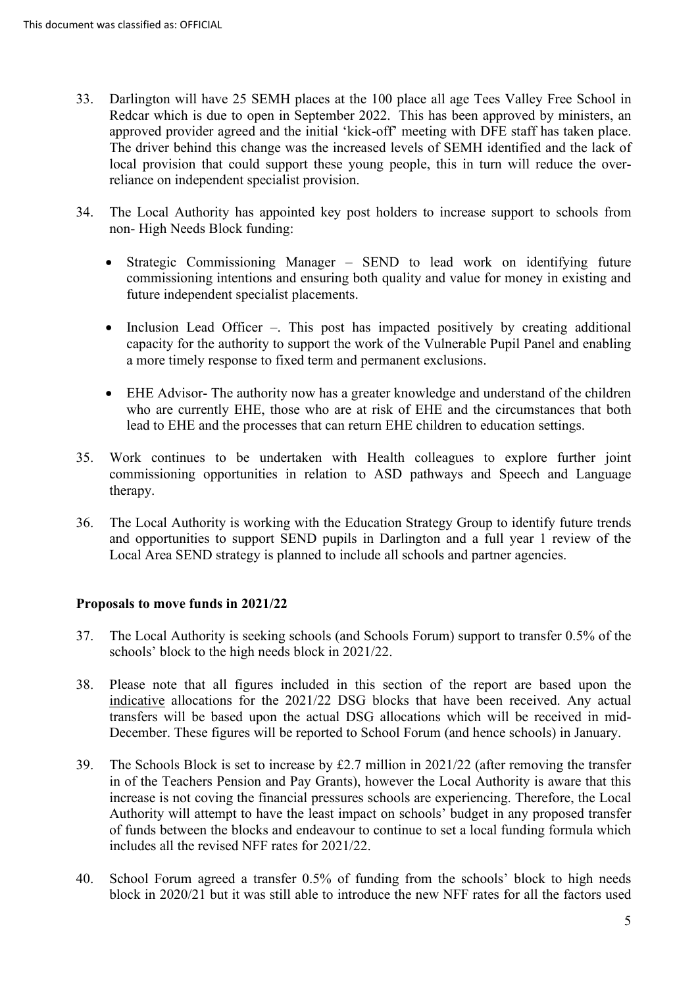- Redcar which is due to open in September 2022. This has been approved by ministers, an approved provider agreed and the initial 'kick-off' meeting with DFE staff has taken place. local provision that could support these young people, this in turn will reduce the over-33. Darlington will have 25 SEMH places at the 100 place all age Tees Valley Free School in The driver behind this change was the increased levels of SEMH identified and the lack of reliance on independent specialist provision.
- 34. The Local Authority has appointed key post holders to increase support to schools from non- High Needs Block funding:
	- • Strategic Commissioning Manager SEND to lead work on identifying future commissioning intentions and ensuring both quality and value for money in existing and future independent specialist placements.
	- a more timely response to fixed term and permanent exclusions. • Inclusion Lead Officer –. This post has impacted positively by creating additional capacity for the authority to support the work of the Vulnerable Pupil Panel and enabling
	- EHE Advisor- The authority now has a greater knowledge and understand of the children who are currently EHE, those who are at risk of EHE and the circumstances that both lead to EHE and the processes that can return EHE children to education settings.
- commissioning opportunities in relation to ASD pathways and Speech and Language 35. Work continues to be undertaken with Health colleagues to explore further joint therapy.
- and opportunities to support SEND pupils in Darlington and a full year 1 review of the 36. The Local Authority is working with the Education Strategy Group to identify future trends Local Area SEND strategy is planned to include all schools and partner agencies.

# **Proposals to move funds in 2021/22**

- schools' block to the high needs block in 2021/22. 37. The Local Authority is seeking schools (and Schools Forum) support to transfer 0.5% of the
- indicative allocations for the 2021/22 DSG blocks that have been received. Any actual 38. Please note that all figures included in this section of the report are based upon the transfers will be based upon the actual DSG allocations which will be received in mid-December. These figures will be reported to School Forum (and hence schools) in January.
- 39. The Schools Block is set to increase by £2.7 million in 2021/22 (after removing the transfer Authority will attempt to have the least impact on schools' budget in any proposed transfer in of the Teachers Pension and Pay Grants), however the Local Authority is aware that this increase is not coving the financial pressures schools are experiencing. Therefore, the Local of funds between the blocks and endeavour to continue to set a local funding formula which includes all the revised NFF rates for 2021/22.
- 40. School Forum agreed a transfer 0.5% of funding from the schools' block to high needs block in 2020/21 but it was still able to introduce the new NFF rates for all the factors used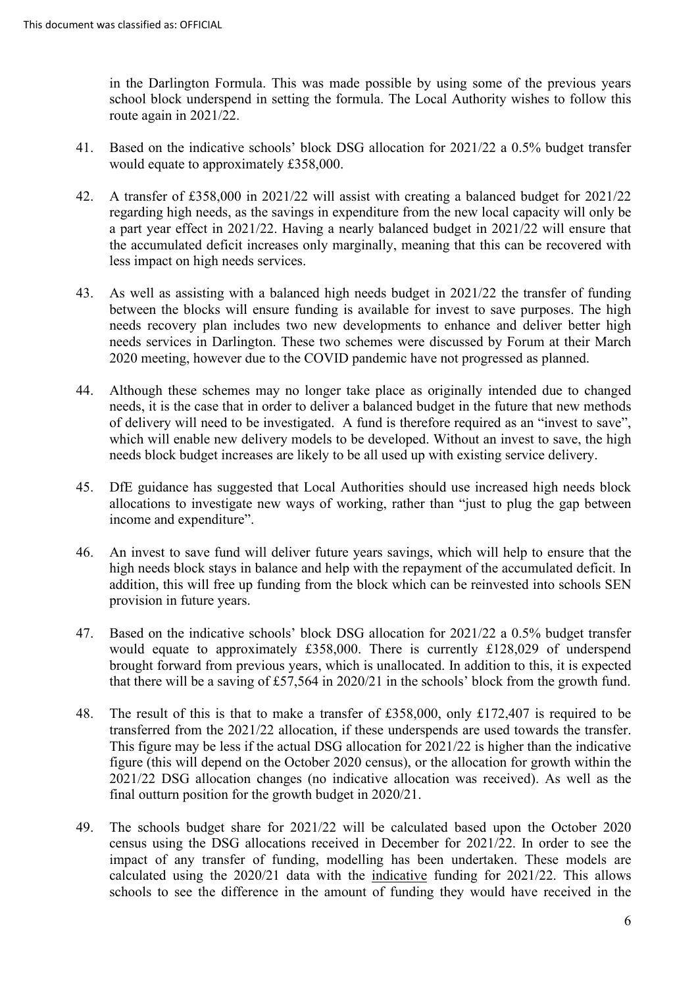route again in 2021/22. in the Darlington Formula. This was made possible by using some of the previous years school block underspend in setting the formula. The Local Authority wishes to follow this

- would equate to approximately £358,000. 41. Based on the indicative schools' block DSG allocation for 2021/22 a 0.5% budget transfer
- regarding high needs, as the savings in expenditure from the new local capacity will only be less impact on high needs services. 42. A transfer of £358,000 in 2021/22 will assist with creating a balanced budget for 2021/22 a part year effect in 2021/22. Having a nearly balanced budget in 2021/22 will ensure that the accumulated deficit increases only marginally, meaning that this can be recovered with
- between the blocks will ensure funding is available for invest to save purposes. The high needs recovery plan includes two new developments to enhance and deliver better high 2020 meeting, however due to the COVID pandemic have not progressed as planned. 43. As well as assisting with a balanced high needs budget in 2021/22 the transfer of funding needs services in Darlington. These two schemes were discussed by Forum at their March
- 44. Although these schemes may no longer take place as originally intended due to changed needs, it is the case that in order to deliver a balanced budget in the future that new methods of delivery will need to be investigated. A fund is therefore required as an "invest to save", needs block budget increases are likely to be all used up with existing service delivery. which will enable new delivery models to be developed. Without an invest to save, the high
- 45. DfE guidance has suggested that Local Authorities should use increased high needs block allocations to investigate new ways of working, rather than "just to plug the gap between income and expenditure".
- 46. An invest to save fund will deliver future years savings, which will help to ensure that the high needs block stays in balance and help with the repayment of the accumulated deficit. In addition, this will free up funding from the block which can be reinvested into schools SEN provision in future years.
- would equate to approximately £358,000. There is currently £128,029 of underspend that there will be a saving of £57,564 in 2020/21 in the schools' block from the growth fund. 47. Based on the indicative schools' block DSG allocation for 2021/22 a 0.5% budget transfer brought forward from previous years, which is unallocated. In addition to this, it is expected
- 2021/22 DSG allocation changes (no indicative allocation was received). As well as the final outturn position for the growth budget in 2020/21. 48. The result of this is that to make a transfer of £358,000, only £172,407 is required to be transferred from the 2021/22 allocation, if these underspends are used towards the transfer. This figure may be less if the actual DSG allocation for 2021/22 is higher than the indicative figure (this will depend on the October 2020 census), or the allocation for growth within the
- census using the DSG allocations received in December for 2021/22. In order to see the impact of any transfer of funding, modelling has been undertaken. These models are 49. The schools budget share for  $2021/22$  will be calculated based upon the October 2020 calculated using the 2020/21 data with the indicative funding for 2021/22. This allows schools to see the difference in the amount of funding they would have received in the